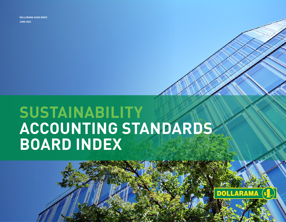**JUNE 2022 DOLLARAMA SASB INDEX**

# **SUSTAINABILITY ACCOUNTING STANDARDS BOARD INDEX**

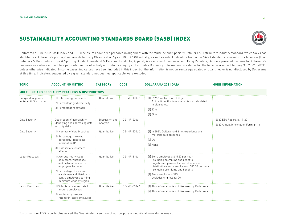### SUSTAINABILITY ACCOUNTING STANDARDS BOARD (SASB) INDEX

identified as Dollarama's primary Sustainable Industry Classification System® (SICS®) industry, as well as select indicators from other SASB standards relevant to our business (Food Retailers & Distributors; Toys & Sporting Goods; Household & Personal Products; Apparel, Accessories & Footwear; and Drug Retailers). All data provided pertains to Dollarama's business as a whole and not to a particular sector of activity or product category and excludes Dollarcity. Information provided is for the fiscal year ended January 30, 2022 ("2021") unless otherwise indicated. In some cases, indicators have been included in this index, but the information is not currently aggregated or quantified or is not disclosed by Dollarama at this time. Indicators suggested by a given standard not deemed applicable were excluded.

| <b>TOPIC</b>                                         | <b>ACCOUNTING METRIC</b>                                                                                                                                                                                               | <b>CATEGORY</b>            | <b>CODE</b>  | <b>DOLLARAMA 2021 DATA</b>                                                                                                                                                                                                                                            | <b>MORE INFORMATION</b>                                          |  |  |
|------------------------------------------------------|------------------------------------------------------------------------------------------------------------------------------------------------------------------------------------------------------------------------|----------------------------|--------------|-----------------------------------------------------------------------------------------------------------------------------------------------------------------------------------------------------------------------------------------------------------------------|------------------------------------------------------------------|--|--|
| MULTILINE AND SPECIALITY RETAILERS & DISTRIBUTORS    |                                                                                                                                                                                                                        |                            |              |                                                                                                                                                                                                                                                                       |                                                                  |  |  |
| <b>Energy Management</b><br>in Retail & Distribution | (1) Total energy consumed<br>(2) Percentage grid electricity<br>(3) Percentage renewable                                                                                                                               | Quantitative               | CG-MR-130a.1 | $(1)$ 89,929 metric tons of CO <sub>2</sub> e<br>At this time, this information is not calculated<br>in gigajoules.<br>$(2)$ 33%<br>(3)58%                                                                                                                            |                                                                  |  |  |
| Data Security                                        | Description of approach to<br>identifying and addressing data<br>security risks                                                                                                                                        | Discussion and<br>Analysis | CG-MR-230a.1 |                                                                                                                                                                                                                                                                       | 2022 ESG Report, p. 19-20<br>2022 Annual Information Form, p. 18 |  |  |
| Data Security                                        | [1] Number of data breaches<br>(2) Percentage involving<br>personally identifiable<br>information (PII)<br>(3) Number of customers<br>affected                                                                         | Quantitative               | CG-MR-230a.2 | (1) In 2021, Dollarama did not experience any<br>material data breaches.<br>[2]0%<br>[3] None                                                                                                                                                                         |                                                                  |  |  |
| Labor Practices                                      | (1) Average hourly wage<br>of in-store, warehouse<br>and distribution centre<br>employees by region<br>(2) Percentage of in-store,<br>warehouse and distribution<br>centre employees earning<br>minimum wage by region | Quantitative               | CG-MR-310a.1 | (1) Store employees: \$15.57 per hour<br>(excluding premiums and benefits)<br>Logistics employees (i.e. warehouse and<br>distribution centre employees): \$23.33 per hour<br>(excluding premiums and benefits)<br>(2) Store employees: 39%<br>Logistics employees: 0% |                                                                  |  |  |
| Labor Practices                                      | (1) Voluntary turnover rate for<br>in-store employees<br>(2) Involuntary turnover<br>rate for in-store employees                                                                                                       | Quantitative               | CG-MR-310a.2 | (1) This information is not disclosed by Dollarama.<br>(2) This information is not disclosed by Dollarama.                                                                                                                                                            |                                                                  |  |  |

Dollarama's June 2022 SASB Index and ESG disclosures have been prepared in alignment with the Multiline and Specialty Retailers & Distributors industry standard, which SASB has

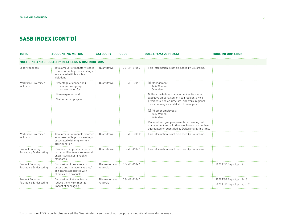| <b>TOPIC</b>                               | <b>ACCOUNTING METRIC</b>                                                                                               | <b>CATEGORY</b>            | <b>CODE</b>  | <b>DOLLARAMA 2021 DATA</b>                                                                                                                                                                                                                                                                                                                                                                                                                               | <b>MORE INFORMATION</b>                                    |  |  |
|--------------------------------------------|------------------------------------------------------------------------------------------------------------------------|----------------------------|--------------|----------------------------------------------------------------------------------------------------------------------------------------------------------------------------------------------------------------------------------------------------------------------------------------------------------------------------------------------------------------------------------------------------------------------------------------------------------|------------------------------------------------------------|--|--|
|                                            |                                                                                                                        |                            |              |                                                                                                                                                                                                                                                                                                                                                                                                                                                          |                                                            |  |  |
| Labor Practices                            | Total amount of monetary losses<br>as a result of legal proceedings<br>associated with labor law<br>violations         | Quantitative               | CG-MR-310a.3 | This information is not disclosed by Dollarama.                                                                                                                                                                                                                                                                                                                                                                                                          |                                                            |  |  |
| Workforce Diversity &<br>Inclusion         | Percentage of gender and<br>racial/ethnic group<br>representation for<br>(1) management and<br>(2) all other employees | Quantitative               | CG-MR-330a.1 | (1) Management:<br>44% Women<br>56% Men<br>Dollarama defines management as its named<br>executive officers, senior vice presidents, vice<br>presidents, senior directors, directors, regional<br>district managers and district managers.<br>(2) All other employees:<br>74% Women<br>26% Men<br>Racial/ethnic group representation among both<br>management and all other employees has not been<br>aggregated or quantified by Dollarama at this time. |                                                            |  |  |
| Workforce Diversity &<br>Inclusion         | Total amount of monetary losses<br>as a result of legal proceedings<br>associated with employment<br>discrimination    | Quantitative               | CG-MR-330a.2 | This information is not disclosed by Dollarama.                                                                                                                                                                                                                                                                                                                                                                                                          |                                                            |  |  |
| Product Sourcing,<br>Packaging & Marketing | Revenue from products third-<br>party certified to environmental<br>and/or social sustainability<br>standards          | Quantitative               | CG-MR-410a.1 | This information is not disclosed by Dollarama.                                                                                                                                                                                                                                                                                                                                                                                                          |                                                            |  |  |
| Product Sourcing,<br>Packaging & Marketing | Discussion of processes to<br>assess and manage risks and/<br>or hazards associated with<br>chemicals in products      | Discussion and<br>Analysis | CG-MR-410a.2 |                                                                                                                                                                                                                                                                                                                                                                                                                                                          | 2021 ESG Report, p. 17                                     |  |  |
| Product Sourcing,<br>Packaging & Marketing | Discussion of strategies to<br>reduce the environmental<br>impact of packaging                                         | Discussion and<br>Analysis | CG-MR-410a.3 |                                                                                                                                                                                                                                                                                                                                                                                                                                                          | 2022 ESG Report, p. 17-18<br>2021 ESG Report, p. 19, p. 30 |  |  |

**3**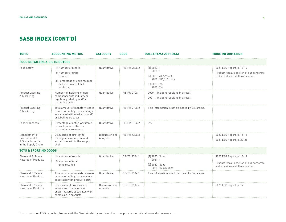| <b>TOPIC</b>                                                              | <b>ACCOUNTING METRIC</b>                                                                                                       | <b>CATEGORY</b>            | CODE         | <b>DOLLARAMA 2021 DATA</b>                                                                          | <b>MORE INFORMATION</b>                                                                               |
|---------------------------------------------------------------------------|--------------------------------------------------------------------------------------------------------------------------------|----------------------------|--------------|-----------------------------------------------------------------------------------------------------|-------------------------------------------------------------------------------------------------------|
| FOOD RETAILERS & DISTRIBUTORS                                             |                                                                                                                                |                            |              |                                                                                                     |                                                                                                       |
| Food Safety                                                               | (1) Number of recalls<br>[2] Number of units<br>recalled<br>(3) Percentage of units recalled<br>that are private-label         | Quantitative               | FB-FR-250a.2 | $(1)$ 2020: 1<br>2021:1<br>[2] 2020: 23.299 units<br>2021: 684,314 units<br>(3) 2020: 0%<br>2021:0% | 2021 ESG Report, p. 18-19<br>Product Recalls section of our corporate<br>website at www.dollarama.com |
| Product Labeling<br>& Marketing                                           | products<br>Number of incidents of non-<br>compliance with industry or<br>regulatory labeling and/or<br>marketing codes        | Quantitative               | FB-FR-270a.1 | 2020: 1 incident resulting in a recall<br>2021: 1 incident resulting in a recall                    |                                                                                                       |
| Product Labeling<br>& Marketing                                           | Total amount of monetary losses<br>as a result of legal proceedings<br>associated with marketing and/<br>or labeling practices | Quantitative               | FB-FR-270a.2 | This information is not disclosed by Dollarama.                                                     |                                                                                                       |
| Labor Practices                                                           | Percentage of active workforce<br>covered under collective<br>bargaining agreements                                            | Quantitative               | FB-FR-310a.2 | 0%                                                                                                  |                                                                                                       |
| Management of<br>Environmental<br>& Social Impacts<br>in the Supply Chain | Discussion of strategy to<br>manage environmental and<br>social risks within the supply<br>chain                               | Discussion and<br>Analysis | FB-FR-430a.3 |                                                                                                     | 2022 ESG Report, p. 15-16<br>2021 ESG Report, p. 22-25                                                |
| <b>TOYS &amp; SPORTING GOODS</b>                                          |                                                                                                                                |                            |              |                                                                                                     |                                                                                                       |
| Chemical & Safety<br>Hazards of Products                                  | [1] Number of recalls<br>[2] Number of total<br>units recalled                                                                 | Quantitative               | CG-TS-250a.1 | [1] 2020: None<br>2021:1<br>[2] 2020: None<br>2021: 15,595 units                                    | 2021 ESG Report, p. 18-19<br>Product Recalls section of our corporate<br>website at www.dollarama.com |
| Chemical & Safety<br>Hazards of Products                                  | Total amount of monetary losses<br>as a result of legal proceedings<br>associated with product safety                          | Quantitative               | CG-TS-250a.3 | This information is not disclosed by Dollarama.                                                     |                                                                                                       |
| Chemical & Safety<br>Hazards of Products                                  | Discussion of processes to<br>assess and manage risks<br>and/or hazards associated with<br>chemicals in products               | Discussion and<br>Analysis | CG-TS-250a.4 |                                                                                                     | 2021 ESG Report, p. 17                                                                                |

To consult our ESG reports please visit the Sustainability section of our corporate website at www.dollarama.com.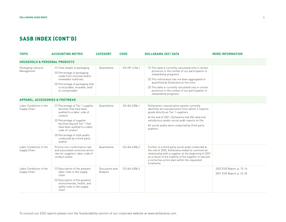| <b>TOPIC</b>                               | <b>ACCOUNTING METRIC</b>                                                                                                                                                                                                                                                                             | <b>CATEGORY</b>            | <b>CODE</b>    | <b>DOLLARAMA 2021 DATA</b>                                                                                                                                                                                                                                                                                                                                           | <b>MORE INFORMATION</b>                                |  |  |
|--------------------------------------------|------------------------------------------------------------------------------------------------------------------------------------------------------------------------------------------------------------------------------------------------------------------------------------------------------|----------------------------|----------------|----------------------------------------------------------------------------------------------------------------------------------------------------------------------------------------------------------------------------------------------------------------------------------------------------------------------------------------------------------------------|--------------------------------------------------------|--|--|
| <b>HOUSEHOLD &amp; PERSONAL PRODUCTS</b>   |                                                                                                                                                                                                                                                                                                      |                            |                |                                                                                                                                                                                                                                                                                                                                                                      |                                                        |  |  |
| Packaging Lifecycle<br>Management          | (1) Total weight of packaging<br>(2) Percentage of packaging<br>made from recycled and/or<br>renewable materials<br>(3) Percentage of packaging that<br>is recyclable, reusable, and/<br>or compostable                                                                                              | Quantitative               | CG-HP-410a.1   | [1] This data is currently calculated only in certain<br>provinces in the context of our participation in<br>stewardship programs.<br>(2) This information has not been aggregated or<br>quantified by Dollarama at this time.<br>(3) This data is currently calculated only in certain<br>provinces in the context of our participation in<br>stewardship programs. |                                                        |  |  |
| <b>APPAREL. ACCESSORIES &amp; FOOTWEAR</b> |                                                                                                                                                                                                                                                                                                      |                            |                |                                                                                                                                                                                                                                                                                                                                                                      |                                                        |  |  |
| Labor Conditions in the<br>Supply Chain    | (1) Percentage of Tier 1 supplier<br>facilities that have been<br>audited to a labor code of<br>conduct<br>(2) Percentage of supplier<br>facilities beyond Tier 1 that<br>have been audited to a labor<br>code of conduct<br>(3) Percentage of total audits<br>conducted by a third-party<br>auditor | Quantitative               | CG-AA-430b.1   | Dollarama's classification system currently<br>identifies all manufacturers from whom it imports<br>goods directly as Tier 1 suppliers.<br>At the end of 2021, Dollarama had 204 valid and<br>satisfactory vendor social audit reports on file.<br>All social audits were conducted by third-party<br>auditors.                                                      |                                                        |  |  |
| Labor Conditions in the<br>Supply Chain    | Priority non-conformance rate<br>and associated corrective action<br>rate for suppliers' labor code of<br>conduct audits                                                                                                                                                                             | Quantitative               | $CG-AA-430b.2$ | Further to a third-party social audit conducted at<br>the end of 2020, Dollarama ended its commercial<br>relationship with a supplier at the beginning of 2021<br>as a result of the inability of the supplier to execute<br>a corrective action plan within the requested<br>timeframe.                                                                             |                                                        |  |  |
| Labor Conditions in the<br>Supply Chain    | (1) Description of the greatest<br>labor risks in the supply<br>chain<br>(2) Description of the greatest<br>environmental, health, and<br>safety risks in the supply<br>chain                                                                                                                        | Discussion and<br>Analysis | CG-AA-430b.3   |                                                                                                                                                                                                                                                                                                                                                                      | 2022 ESG Report, p. 15-16<br>2021 ESG Report, p. 22-25 |  |  |

**5**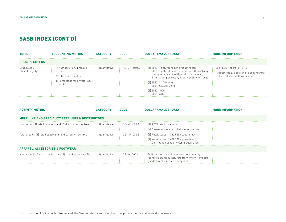| <b>TOPIC</b>                   | <b>ACCOUNTING METRIC</b>                                                                                                | <b>CATEGORY</b> | <b>CODE</b>               | DOLLARAMA 2021 DATA                                                                                                                                                                                                                                                           | <b>MORE INFORMATION</b>                                                                               |  |
|--------------------------------|-------------------------------------------------------------------------------------------------------------------------|-----------------|---------------------------|-------------------------------------------------------------------------------------------------------------------------------------------------------------------------------------------------------------------------------------------------------------------------------|-------------------------------------------------------------------------------------------------------|--|
| <b>DRUG RETAILERS</b>          |                                                                                                                         |                 |                           |                                                                                                                                                                                                                                                                               |                                                                                                       |  |
| Drug Supply<br>Chain Integrity | (1) Number of drug recalls<br><b>ISSUed</b><br>[2] Total units recalled<br>(3) Percentage for private-label<br>products | Quantitative    | $\therefore$ HC-DR-250a.2 | (1) 2020: 1 natural health product recall<br>2021: 1 natural health product recall (involving<br>multiple natural health product numbers),<br>1 hair shampoo recall, 1 hair conditioner recall<br>(2) 2020: 11,740 units<br>2021: 430.084 units<br>(3) 2020: 100%<br>2021:93% | 2021 ESG Report, p. 18-19<br>Product Recalls section of our corporate<br>website at www.dollarama.com |  |

| <b>ACTIVITY METRIC</b>                                                               | CATEGORY       | <b>CODE</b>              | DOLLARAMA 2021 DATA                                                                                                                     | <b>MORE INFORMATION</b> |  |  |
|--------------------------------------------------------------------------------------|----------------|--------------------------|-----------------------------------------------------------------------------------------------------------------------------------------|-------------------------|--|--|
| <b>MULTILINE AND SPECIALITY RETAILERS &amp; DISTRIBUTORS</b>                         |                |                          |                                                                                                                                         |                         |  |  |
| Number of: [1] retail locations and [2] distribution centres                         | : Quantitative | $\therefore$ CG-MR-000.A | $\div$ (1) 1.421 retail locations                                                                                                       |                         |  |  |
|                                                                                      |                |                          | [2] 6 warehouses and 1 distribution centre                                                                                              |                         |  |  |
| Total area of: (1) retail space and (2) distribution centres                         | Quantitative   | $CG-MR-000.B$            | [1] Retail space: 14,825,590 square feet                                                                                                |                         |  |  |
|                                                                                      |                |                          | $(2)$ Warehouses: 1,668,230 square feet<br>Distribution centre: 495,686 square feet                                                     |                         |  |  |
| <b>APPAREL, ACCESSORIES &amp; FOOTWEAR</b>                                           |                |                          |                                                                                                                                         |                         |  |  |
| Number of (1) Tier 1 suppliers and (2) suppliers beyond Tier $1 \div Q$ Quantitative |                | $\therefore$ CG-AA-000.A | Dollarama's classification system currently<br>identifies all manufacturers from whom it imports<br>goods directly as Tier 1 suppliers. |                         |  |  |